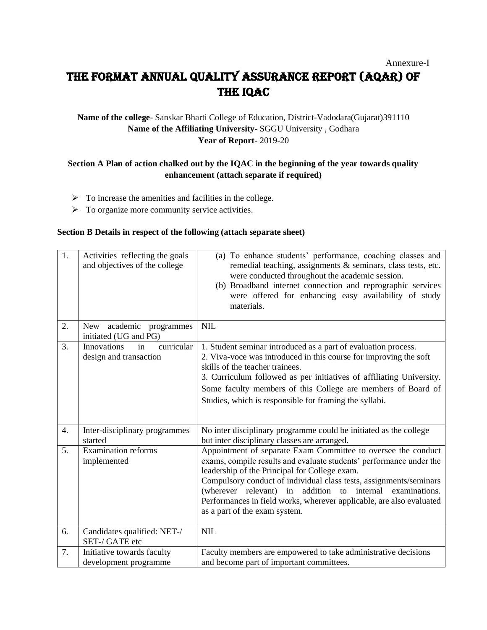# Annexure-I The Format Annual Quality Assurance Report (AQAR) of the IQAC

## **Name of the college**- Sanskar Bharti College of Education, District-Vadodara(Gujarat)391110 **Name of the Affiliating University**- SGGU University , Godhara **Year of Report**- 2019-20

## **Section A Plan of action chalked out by the IQAC in the beginning of the year towards quality enhancement (attach separate if required)**

- $\triangleright$  To increase the amenities and facilities in the college.
- ➢ To organize more community service activities.

#### **Section B Details in respect of the following (attach separate sheet)**

| 1. | Activities reflecting the goals<br>and objectives of the college | (a) To enhance students' performance, coaching classes and<br>remedial teaching, assignments & seminars, class tests, etc.<br>were conducted throughout the academic session.<br>(b) Broadband internet connection and reprographic services<br>were offered for enhancing easy availability of study<br>materials.                                                                                                               |
|----|------------------------------------------------------------------|-----------------------------------------------------------------------------------------------------------------------------------------------------------------------------------------------------------------------------------------------------------------------------------------------------------------------------------------------------------------------------------------------------------------------------------|
| 2. | academic<br>New<br>programmes<br>initiated (UG and PG)           | NIL                                                                                                                                                                                                                                                                                                                                                                                                                               |
| 3. | curricular<br>Innovations<br>in<br>design and transaction        | 1. Student seminar introduced as a part of evaluation process.<br>2. Viva-voce was introduced in this course for improving the soft<br>skills of the teacher trainees.<br>3. Curriculum followed as per initiatives of affiliating University.<br>Some faculty members of this College are members of Board of<br>Studies, which is responsible for framing the syllabi.                                                          |
| 4. | Inter-disciplinary programmes<br>started                         | No inter disciplinary programme could be initiated as the college<br>but inter disciplinary classes are arranged.                                                                                                                                                                                                                                                                                                                 |
| 5. | Examination reforms<br>implemented                               | Appointment of separate Exam Committee to oversee the conduct<br>exams, compile results and evaluate students' performance under the<br>leadership of the Principal for College exam.<br>Compulsory conduct of individual class tests, assignments/seminars<br>(wherever relevant) in addition to internal examinations.<br>Performances in field works, wherever applicable, are also evaluated<br>as a part of the exam system. |
| 6. | Candidates qualified: NET-/<br>SET-/ GATE etc                    | NIL                                                                                                                                                                                                                                                                                                                                                                                                                               |
| 7. | Initiative towards faculty<br>development programme              | Faculty members are empowered to take administrative decisions<br>and become part of important committees.                                                                                                                                                                                                                                                                                                                        |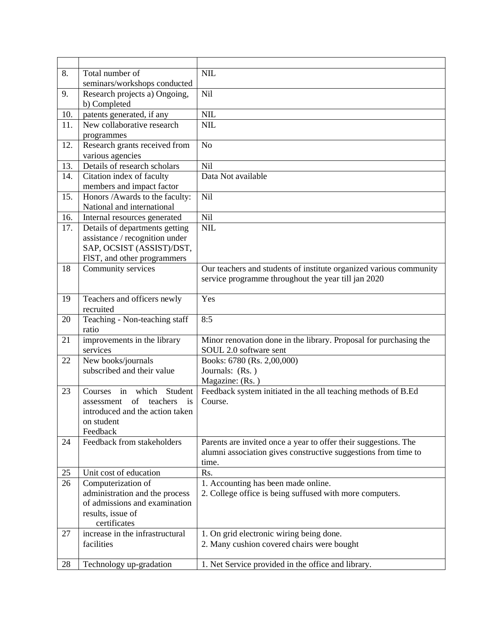| 8.  | Total number of                                          | <b>NIL</b>                                                              |
|-----|----------------------------------------------------------|-------------------------------------------------------------------------|
|     | seminars/workshops conducted                             |                                                                         |
| 9.  | Research projects a) Ongoing,                            | Nil                                                                     |
|     | b) Completed                                             |                                                                         |
| 10. | patents generated, if any                                | NIL                                                                     |
| 11. | New collaborative research                               | <b>NIL</b>                                                              |
|     | programmes                                               |                                                                         |
| 12. | Research grants received from                            | N <sub>o</sub>                                                          |
|     | various agencies                                         |                                                                         |
| 13. | Details of research scholars                             | Nil                                                                     |
| 14. | Citation index of faculty                                | Data Not available                                                      |
|     | members and impact factor                                |                                                                         |
| 15. | Honors /Awards to the faculty:                           | Nil                                                                     |
|     | National and international                               |                                                                         |
| 16. | Internal resources generated                             | Nil                                                                     |
| 17. | Details of departments getting                           | NIL                                                                     |
|     | assistance / recognition under                           |                                                                         |
|     | SAP, OCSIST (ASSIST)/DST,<br>FIST, and other programmers |                                                                         |
| 18  | Community services                                       | Our teachers and students of institute organized various community      |
|     |                                                          | service programme throughout the year till jan 2020                     |
|     |                                                          |                                                                         |
| 19  | Teachers and officers newly                              | Yes                                                                     |
|     | recruited                                                |                                                                         |
| 20  | Teaching - Non-teaching staff                            | 8:5                                                                     |
|     | ratio                                                    |                                                                         |
| 21  | improvements in the library                              | Minor renovation done in the library. Proposal for purchasing the       |
|     | services                                                 | SOUL 2.0 software sent                                                  |
| 22  | New books/journals                                       | Books: 6780 (Rs. 2,00,000)                                              |
|     | subscribed and their value                               | Journals: (Rs.)                                                         |
|     |                                                          | Magazine: (Rs.)                                                         |
| 23  | which<br>in<br>Student<br>Courses                        | Feedback system initiated in the all teaching methods of B.Ed           |
|     | teachers<br>of<br>is<br>assessment                       | Course.                                                                 |
|     | introduced and the action taken                          |                                                                         |
|     | on student                                               |                                                                         |
|     | Feedback                                                 |                                                                         |
| 24  | Feedback from stakeholders                               | Parents are invited once a year to offer their suggestions. The         |
|     |                                                          | alumni association gives constructive suggestions from time to<br>time. |
| 25  | Unit cost of education                                   | Rs.                                                                     |
| 26  | Computerization of                                       | 1. Accounting has been made online.                                     |
|     | administration and the process                           | 2. College office is being suffused with more computers.                |
|     | of admissions and examination                            |                                                                         |
|     | results, issue of                                        |                                                                         |
|     | certificates                                             |                                                                         |
| 27  | increase in the infrastructural                          | 1. On grid electronic wiring being done.                                |
|     | facilities                                               | 2. Many cushion covered chairs were bought                              |
|     |                                                          |                                                                         |
| 28  | Technology up-gradation                                  | 1. Net Service provided in the office and library.                      |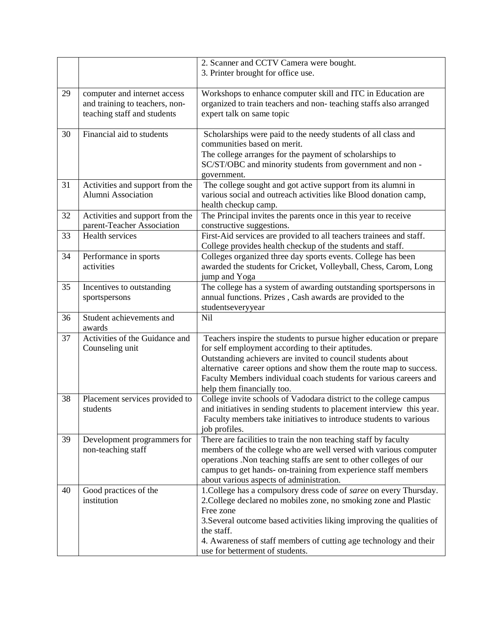|    |                                                                                               | 2. Scanner and CCTV Camera were bought.<br>3. Printer brought for office use.                                                                                                                                                                                                                                                                                    |
|----|-----------------------------------------------------------------------------------------------|------------------------------------------------------------------------------------------------------------------------------------------------------------------------------------------------------------------------------------------------------------------------------------------------------------------------------------------------------------------|
| 29 | computer and internet access<br>and training to teachers, non-<br>teaching staff and students | Workshops to enhance computer skill and ITC in Education are<br>organized to train teachers and non-teaching staffs also arranged<br>expert talk on same topic                                                                                                                                                                                                   |
| 30 | Financial aid to students                                                                     | Scholarships were paid to the needy students of all class and<br>communities based on merit.<br>The college arranges for the payment of scholarships to<br>SC/ST/OBC and minority students from government and non-<br>government.                                                                                                                               |
| 31 | Activities and support from the<br>Alumni Association                                         | The college sought and got active support from its alumni in<br>various social and outreach activities like Blood donation camp,<br>health checkup camp.                                                                                                                                                                                                         |
| 32 | Activities and support from the<br>parent-Teacher Association                                 | The Principal invites the parents once in this year to receive<br>constructive suggestions.                                                                                                                                                                                                                                                                      |
| 33 | <b>Health services</b>                                                                        | First-Aid services are provided to all teachers trainees and staff.<br>College provides health checkup of the students and staff.                                                                                                                                                                                                                                |
| 34 | Performance in sports<br>activities                                                           | Colleges organized three day sports events. College has been<br>awarded the students for Cricket, Volleyball, Chess, Carom, Long<br>jump and Yoga                                                                                                                                                                                                                |
| 35 | Incentives to outstanding<br>sportspersons                                                    | The college has a system of awarding outstanding sportspersons in<br>annual functions. Prizes, Cash awards are provided to the<br>studentseveryyear                                                                                                                                                                                                              |
| 36 | Student achievements and<br>awards                                                            | Nil                                                                                                                                                                                                                                                                                                                                                              |
| 37 | Activities of the Guidance and<br>Counseling unit                                             | Teachers inspire the students to pursue higher education or prepare<br>for self employment according to their aptitudes.<br>Outstanding achievers are invited to council students about<br>alternative career options and show them the route map to success.<br>Faculty Members individual coach students for various careers and<br>help them financially too. |
| 38 | Placement services provided to<br>students                                                    | College invite schools of Vadodara district to the college campus<br>and initiatives in sending students to placement interview this year.<br>Faculty members take initiatives to introduce students to various<br>job profiles.                                                                                                                                 |
| 39 | Development programmers for<br>non-teaching staff                                             | There are facilities to train the non teaching staff by faculty<br>members of the college who are well versed with various computer<br>operations. Non teaching staffs are sent to other colleges of our<br>campus to get hands- on-training from experience staff members<br>about various aspects of administration.                                           |
| 40 | Good practices of the<br>institution                                                          | 1. College has a compulsory dress code of saree on every Thursday.<br>2. College declared no mobiles zone, no smoking zone and Plastic<br>Free zone<br>3. Several outcome based activities liking improving the qualities of<br>the staff.<br>4. Awareness of staff members of cutting age technology and their<br>use for betterment of students.               |